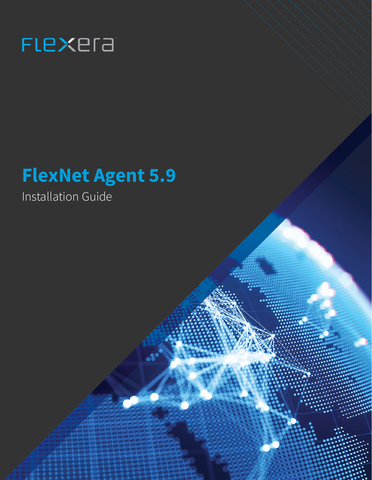

# **FlexNet Agent 5.9**

Installation Guide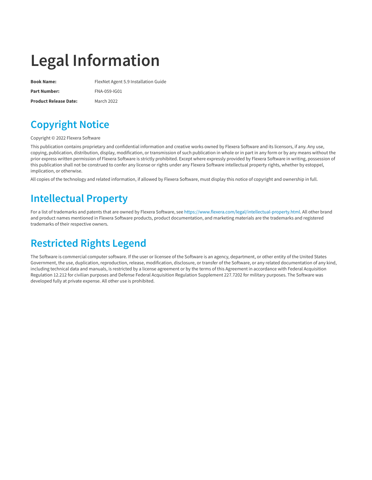# **Legal Information**

**Book Name:** FlexNet Agent 5.9 Installation Guide **Part Number:** FNA-059-IG01 **Product Release Date:** March 2022

## **Copyright Notice**

Copyright © 2022 Flexera Software

This publication contains proprietary and confidential information and creative works owned by Flexera Software and its licensors, if any. Any use, copying, publication, distribution, display, modification, or transmission of such publication in whole or in part in any form or by any means without the prior express written permission of Flexera Software is strictly prohibited. Except where expressly provided by Flexera Software in writing, possession of this publication shall not be construed to confer any license or rights under any Flexera Software intellectual property rights, whether by estoppel, implication, or otherwise.

All copies of the technology and related information, if allowed by Flexera Software, must display this notice of copyright and ownership in full.

## **Intellectual Property**

For a list of trademarks and patents that are owned by Flexera Software, see<https://www.flexera.com/legal/intellectual-property.html>. All other brand and product names mentioned in Flexera Software products, product documentation, and marketing materials are the trademarks and registered trademarks of their respective owners.

### **Restricted Rights Legend**

The Software is commercial computer software. If the user or licensee of the Software is an agency, department, or other entity of the United States Government, the use, duplication, reproduction, release, modification, disclosure, or transfer of the Software, or any related documentation of any kind, including technical data and manuals, is restricted by a license agreement or by the terms of this Agreement in accordance with Federal Acquisition Regulation 12.212 for civilian purposes and Defense Federal Acquisition Regulation Supplement 227.7202 for military purposes. The Software was developed fully at private expense. All other use is prohibited.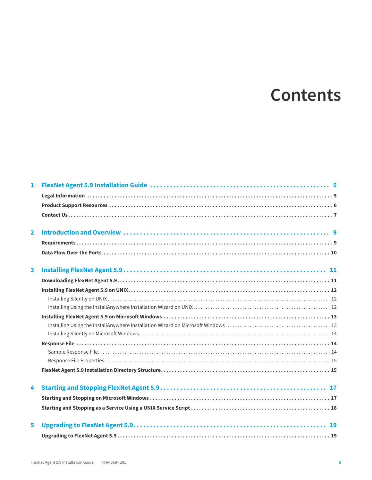# **Contents**

| 1                       |  |
|-------------------------|--|
|                         |  |
|                         |  |
|                         |  |
| $\overline{\mathbf{2}}$ |  |
|                         |  |
|                         |  |
| $\overline{\mathbf{3}}$ |  |
|                         |  |
|                         |  |
|                         |  |
|                         |  |
|                         |  |
|                         |  |
|                         |  |
|                         |  |
|                         |  |
|                         |  |
|                         |  |
| 4                       |  |
|                         |  |
|                         |  |
| 5                       |  |
|                         |  |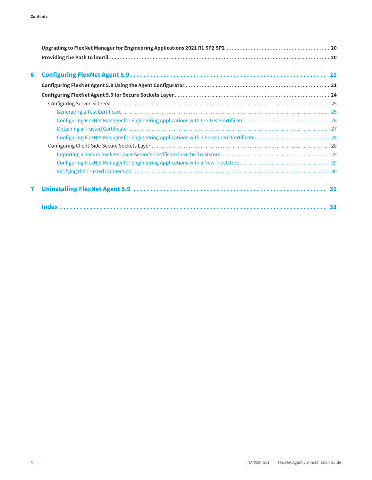| 6 |  |
|---|--|
|   |  |
|   |  |
|   |  |
|   |  |
|   |  |
|   |  |
|   |  |
|   |  |
|   |  |
|   |  |
|   |  |
| 7 |  |
|   |  |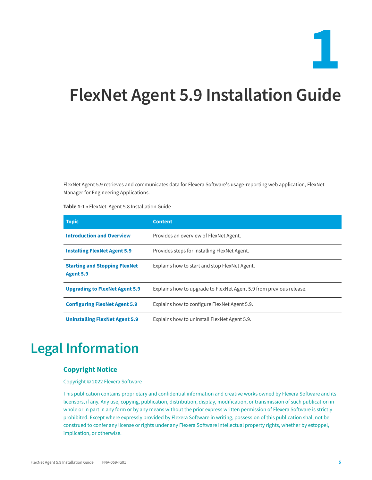# <span id="page-4-0"></span>**FlexNet Agent 5.9 Installation Guide**

FlexNet Agent 5.9 retrieves and communicates data for Flexera Software's usage-reporting web application, FlexNet Manager for Engineering Applications.

| Table 1-1 · FlexNet Agent 5.8 Installation Guide |  |  |  |
|--------------------------------------------------|--|--|--|
|--------------------------------------------------|--|--|--|

| <b>Topic</b>                                      | <b>Content</b>                                                      |
|---------------------------------------------------|---------------------------------------------------------------------|
| <b>Introduction and Overview</b>                  | Provides an overview of FlexNet Agent.                              |
| <b>Installing FlexNet Agent 5.9</b>               | Provides steps for installing FlexNet Agent.                        |
| <b>Starting and Stopping FlexNet</b><br>Agent 5.9 | Explains how to start and stop FlexNet Agent.                       |
| <b>Upgrading to FlexNet Agent 5.9</b>             | Explains how to upgrade to FlexNet Agent 5.9 from previous release. |
| <b>Configuring FlexNet Agent 5.9</b>              | Explains how to configure FlexNet Agent 5.9.                        |
| <b>Uninstalling FlexNet Agent 5.9</b>             | Explains how to uninstall FlexNet Agent 5.9.                        |

# <span id="page-4-2"></span><span id="page-4-1"></span>**Legal Information**

#### **Copyright Notice**

#### Copyright © 2022 Flexera Software

This publication contains proprietary and confidential information and creative works owned by Flexera Software and its licensors, if any. Any use, copying, publication, distribution, display, modification, or transmission of such publication in whole or in part in any form or by any means without the prior express written permission of Flexera Software is strictly prohibited. Except where expressly provided by Flexera Software in writing, possession of this publication shall not be construed to confer any license or rights under any Flexera Software intellectual property rights, whether by estoppel, implication, or otherwise.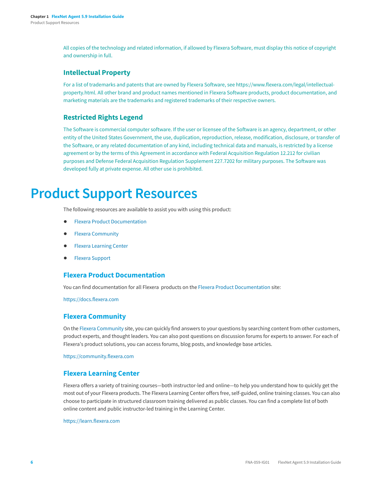All copies of the technology and related information, if allowed by Flexera Software, must display this notice of copyright and ownership in full.

#### **Intellectual Property**

For a list of trademarks and patents that are owned by Flexera Software, see [https://www.flexera.com/legal/intellectual](https://www.flexera.com/legal/intellectual-property.html)[property.html.](https://www.flexera.com/legal/intellectual-property.html) All other brand and product names mentioned in Flexera Software products, product documentation, and marketing materials are the trademarks and registered trademarks of their respective owners.

#### **Restricted Rights Legend**

The Software is commercial computer software. If the user or licensee of the Software is an agency, department, or other entity of the United States Government, the use, duplication, reproduction, release, modification, disclosure, or transfer of the Software, or any related documentation of any kind, including technical data and manuals, is restricted by a license agreement or by the terms of this Agreement in accordance with Federal Acquisition Regulation 12.212 for civilian purposes and Defense Federal Acquisition Regulation Supplement 227.7202 for military purposes. The Software was developed fully at private expense. All other use is prohibited.

# <span id="page-5-0"></span>**Product Support Resources**

The following resources are available to assist you with using this product:

- **•** [Flexera Product Documentation](#page-5-1)
- **•** [Flexera Community](#page-5-2)
- **•** [Flexera Learning Center](#page-5-3)
- **•** [Flexera Support](#page-6-1)

#### <span id="page-5-1"></span>**Flexera Product Documentation**

You can find documentation for all Flexera products on the [Flexera Product Documentation](https://docs.flexera.com) site:

<https://docs.flexera.com>

#### <span id="page-5-2"></span>**Flexera Community**

On the [Flexera Community](https://community.flexera.com) site, you can quickly find answers to your questions by searching content from other customers, product experts, and thought leaders. You can also post questions on discussion forums for experts to answer. For each of Flexera's product solutions, you can access forums, blog posts, and knowledge base articles.

<https://community.flexera.com>

#### <span id="page-5-3"></span>**Flexera Learning Center**

Flexera offers a variety of training courses—both instructor-led and online—to help you understand how to quickly get the most out of your Flexera products. The Flexera Learning Center offers free, self-guided, online training classes. You can also choose to participate in structured classroom training delivered as public classes. You can find a complete list of both online content and public instructor-led training in the Learning Center.

<https://learn.flexera.com>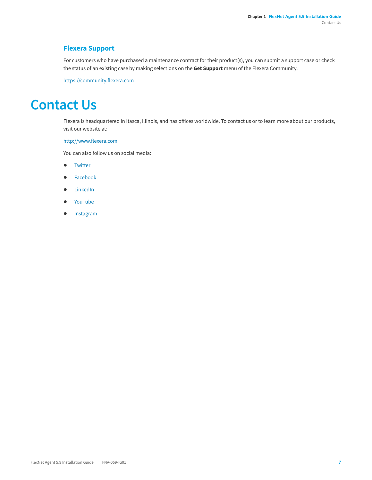#### <span id="page-6-1"></span>**Flexera Support**

For customers who have purchased a maintenance contract for their product(s), you can submit a support case or check the status of an existing case by making selections on the **Get Support** menu of the Flexera Community.

<https://community.flexera.com>

# <span id="page-6-0"></span>**Contact Us**

Flexera is headquartered in Itasca, Illinois, and has offices worldwide. To contact us or to learn more about our products, visit our website at:

<http://www.flexera.com>

You can also follow us on social media:

- **•** [Twitter](https://twitter.com/flexera)
- **•** [Facebook](https://www.facebook.com/flexera/)
- **•** [LinkedIn](https://www.linkedin.com/company/flexera/)
- **•** [YouTube](https://www.youtube.com/user/FlexeraSoftware)
- **•** [Instagram](https://www.instagram.com/weareflexera/)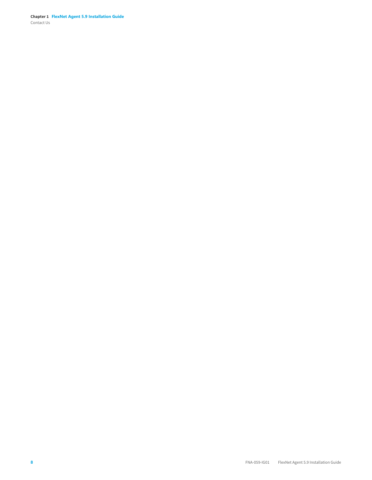**Chapter 1 FlexNet Agent 5.9 Installation Guide**

Contact Us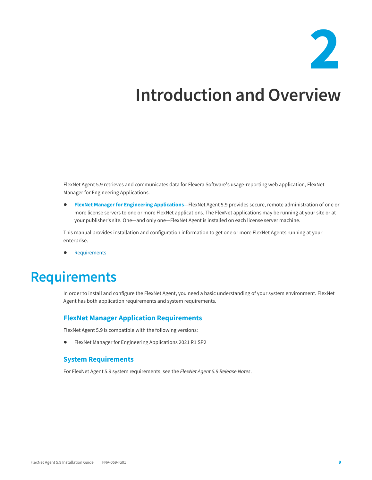# <span id="page-8-2"></span><span id="page-8-0"></span>**Introduction and Overview**

FlexNet Agent 5.9 retrieves and communicates data for Flexera Software's usage-reporting web application, FlexNet Manager for Engineering Applications.

**• FlexNet Manager for Engineering Applications**—FlexNet Agent 5.9 provides secure, remote administration of one or more license servers to one or more FlexNet applications. The FlexNet applications may be running at your site or at your publisher's site. One—and only one—FlexNet Agent is installed on each license server machine.

This manual provides installation and configuration information to get one or more FlexNet Agents running at your enterprise.

**•** [Requirements](#page-8-1)

# <span id="page-8-3"></span><span id="page-8-1"></span>**Requirements**

In order to install and configure the FlexNet Agent, you need a basic understanding of your system environment. FlexNet Agent has both application requirements and system requirements.

#### **FlexNet Manager Application Requirements**

FlexNet Agent 5.9 is compatible with the following versions:

**•** FlexNet Manager for Engineering Applications 2021 R1 SP2

#### **System Requirements**

For FlexNet Agent 5.9 system requirements, see the *FlexNet Agent 5.9 Release Notes*.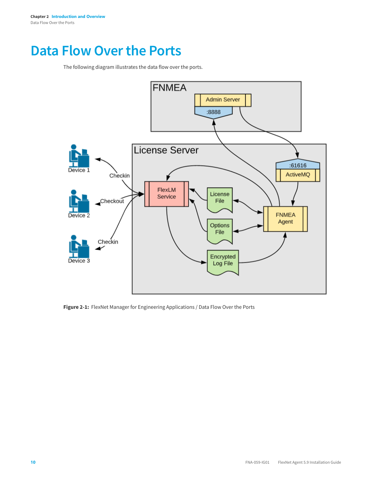# <span id="page-9-0"></span>**Data Flow Over the Ports**

The following diagram illustrates the data flow over the ports.



**Figure 2-1:** FlexNet Manager for Engineering Applications / Data Flow Over the Ports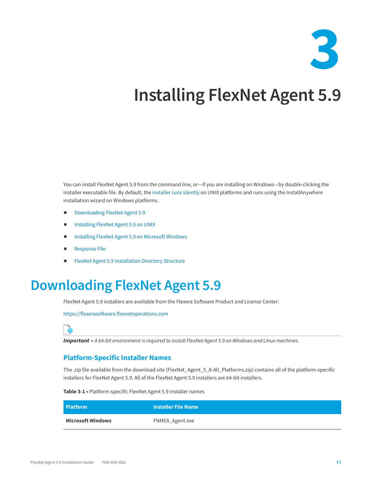**3**

# <span id="page-10-2"></span><span id="page-10-0"></span>**Installing FlexNet Agent 5.9**

You can install FlexNet Agent 5.9 from the command line, or—if you are installing on Windows—by double-clicking the installer executable file. By default, the [installer runs silently](#page-11-0) on UNIX platforms and runs using the InstallAnywhere installation wizard on Windows platforms.

- **•** [Downloading FlexNet Agent 5.9](#page-10-1)
- **•** [Installing FlexNet Agent 5.9 on UNIX](#page-11-0)
- **•** [Installing FlexNet Agent 5.9 on Microsoft Windows](#page-12-0)
- **•** [Response File](#page-13-1)
- **•** [FlexNet Agent 5.9 Installation Directory Structure](#page-14-1)

# <span id="page-10-3"></span><span id="page-10-1"></span>**Downloading FlexNet Agent 5.9**

FlexNet Agent 5.9 installers are available from the Flexera Software Product and License Center:

<https://flexerasoftware.flexnetoperations.com>

*Important • A 64-bit environment is required to install FlexNet Agent 5.9 on Windows and Linux machines.*

#### <span id="page-10-4"></span>**Platform-Specific Installer Names**

The .zip file available from the download site (FlexNet\_Agent\_5\_8-All\_Platforms.zip) contains all of the platform-specific installers for FlexNet Agent 5.9. All of the FlexNet Agent 5.9 installers are 64-bit installers.

**Table 3-1 •** Platform-specific FlexNet Agent 5.9 installer names

| Platform                 | <b>Installer File Name</b> |
|--------------------------|----------------------------|
| <b>Microsoft Windows</b> | FNMEA_Agent.exe            |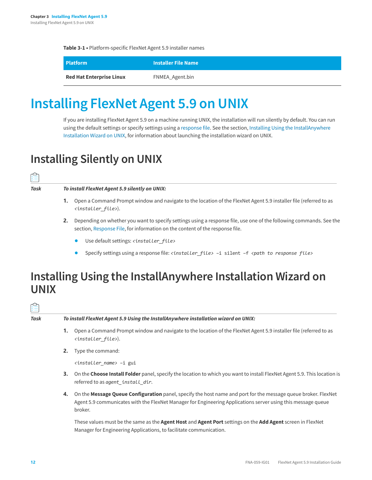**Table 3-1 •** Platform-specific FlexNet Agent 5.9 installer names

| <b>Platform</b>                 | <b>Installer File Name</b> |
|---------------------------------|----------------------------|
| <b>Red Hat Enterprise Linux</b> | FNMEA_Agent.bin            |

# <span id="page-11-0"></span>**Installing FlexNet Agent 5.9 on UNIX**

<span id="page-11-4"></span><span id="page-11-3"></span>If you are installing FlexNet Agent 5.9 on a machine running UNIX, the installation will run silently by default. You can run using the default settings or specify settings using a [response file.](#page-13-1) See the section, [Installing Using the InstallAnywhere](#page-11-2)  [Installation Wizard on UNIX,](#page-11-2) for information about launching the installation wizard on UNIX.

## <span id="page-11-1"></span>**Installing Silently on UNIX**

*Task To install FlexNet Agent 5.9 silently on UNIX:*

- **1.** Open a Command Prompt window and navigate to the location of the FlexNet Agent 5.9 installer file (referred to as *<installer\_file>*).
- **2.** Depending on whether you want to specify settings using a response file, use one of the following commands. See the section, [Response File](#page-13-1), for information on the content of the response file.
	- **•** Use default settings: *<installer\_file>*
	- **•** Specify settings using a response file: *<installer\_file>* –i silent –f *<path to response file>*

### <span id="page-11-2"></span>**Installing Using the InstallAnywhere Installation Wizard on UNIX**

*Task To install FlexNet Agent 5.9 Using the InstallAnywhere installation wizard on UNIX:*

- **1.** Open a Command Prompt window and navigate to the location of the FlexNet Agent 5.9 installer file (referred to as *<installer\_file>*).
- **2.** Type the command:

*<installer\_name>* –i gui

- **3.** On the **Choose Install Folder** panel, specify the location to which you want to install FlexNet Agent 5.9. This location is referred to as *agent\_install\_dir*.
- **4.** On the **Message Queue Configuration** panel, specify the host name and port for the message queue broker. FlexNet Agent 5.9 communicates with the FlexNet Manager for Engineering Applications server using this message queue broker.

These values must be the same as the **Agent Host** and **Agent Port** settings on the **Add Agent** screen in FlexNet Manager for Engineering Applications, to facilitate communication.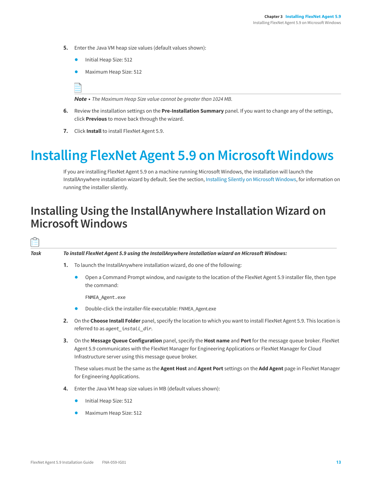- **5.** Enter the Java VM heap size values (default values shown):
	- **•** Initial Heap Size: 512
	- **•** Maximum Heap Size: 512



<span id="page-12-2"></span>*Note • The Maximum Heap Size value cannot be greater than 1024 MB.*

- **6.** Review the installation settings on the **Pre-Installation Summary** panel. If you want to change any of the settings, click **Previous** to move back through the wizard.
- **7.** Click **Install** to install FlexNet Agent 5.9.

# <span id="page-12-0"></span>**Installing FlexNet Agent 5.9 on Microsoft Windows**

If you are installing FlexNet Agent 5.9 on a machine running Microsoft Windows, the installation will launch the InstallAnywhere installation wizard by default. See the section, [Installing Silently on Microsoft Windows,](#page-13-0) for information on running the installer silently.

### <span id="page-12-1"></span>**Installing Using the InstallAnywhere Installation Wizard on Microsoft Windows**

*Task To install FlexNet Agent 5.9 using the InstallAnywhere installation wizard on Microsoft Windows:*

- **1.** To launch the InstallAnywhere installation wizard, do one of the following:
	- **•** Open a Command Prompt window, and navigate to the location of the FlexNet Agent 5.9 installer file, then type the command:

FNMEA\_Agent.exe

- **•** Double-click the installer-file executable: FNMEA\_Agent.exe
- **2.** On the **Choose Install Folder** panel, specify the location to which you want to install FlexNet Agent 5.9. This location is referred to as *agent\_install\_dir*.
- **3.** On the **Message Queue Configuration** panel, specify the **Host name** and **Port** for the message queue broker. FlexNet Agent 5.9 communicates with the FlexNet Manager for Engineering Applications or FlexNet Manager for Cloud Infrastructure server using this message queue broker.

These values must be the same as the **Agent Host** and **Agent Port** settings on the **Add Agent** page in FlexNet Manager for Engineering Applications.

- **4.** Enter the Java VM heap size values in MB (default values shown):
	- **•** Initial Heap Size: 512
	- **•** Maximum Heap Size: 512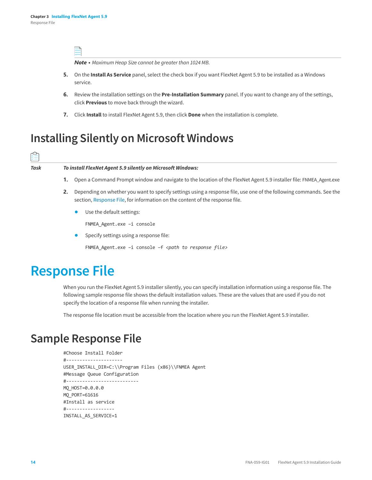*Note • Maximum Heap Size cannot be greater than 1024 MB.*

- **5.** On the **Install As Service** panel, select the check box if you want FlexNet Agent 5.9 to be installed as a Windows service.
- **6.** Review the installation settings on the **Pre-Installation Summary** panel. If you want to change any of the settings, click **Previous** to move back through the wizard.
- <span id="page-13-3"></span>**7.** Click **Install** to install FlexNet Agent 5.9, then click **Done** when the installation is complete.

## <span id="page-13-0"></span>**Installing Silently on Microsoft Windows**

*Task To install FlexNet Agent 5.9 silently on Microsoft Windows:*

- **1.** Open a Command Prompt window and navigate to the location of the FlexNet Agent 5.9 installer file: FNMEA\_Agent.exe
- **2.** Depending on whether you want to specify settings using a response file, use one of the following commands. See the section, [Response File](#page-13-1), for information on the content of the response file.
	- **•** Use the default settings:

FNMEA\_Agent.exe –i console

**•** Specify settings using a response file:

<span id="page-13-5"></span>FNMEA\_Agent.exe –i console –f *<path to response file>*

# <span id="page-13-1"></span>**Response File**

When you run the FlexNet Agent 5.9 installer silently, you can specify installation information using a response file. The following sample response file shows the default installation values. These are the values that are used if you do not specify the location of a response file when running the installer.

<span id="page-13-4"></span>The response file location must be accessible from the location where you run the FlexNet Agent 5.9 installer.

### <span id="page-13-2"></span>**Sample Response File**

#Choose Install Folder #--------------------- USER\_INSTALL\_DIR=C:\\Program Files (x86)\\FNMEA Agent #Message Queue Configuration #--------------------------- MQ\_HOST=0.0.0.0 MQ\_PORT=61616 #Install as service #------------------ INSTALL\_AS\_SERVICE=1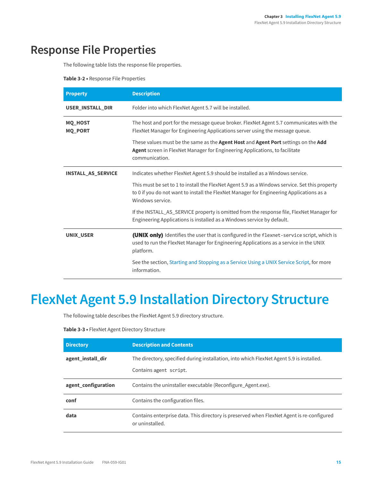## <span id="page-14-2"></span><span id="page-14-0"></span>**Response File Properties**

<span id="page-14-5"></span>The following table lists the response file properties.

**Table 3-2 •** Response File Properties

| <b>Property</b>                  | <b>Description</b>                                                                                                                                                                                             |
|----------------------------------|----------------------------------------------------------------------------------------------------------------------------------------------------------------------------------------------------------------|
| USER_INSTALL_DIR                 | Folder into which FlexNet Agent 5.7 will be installed.                                                                                                                                                         |
| <b>MQ_HOST</b><br><b>MQ_PORT</b> | The host and port for the message queue broker. FlexNet Agent 5.7 communicates with the<br>FlexNet Manager for Engineering Applications server using the message queue.                                        |
|                                  | These values must be the same as the Agent Host and Agent Port settings on the Add<br><b>Agent</b> screen in FlexNet Manager for Engineering Applications, to facilitate<br>communication.                     |
| <b>INSTALL_AS_SERVICE</b>        | Indicates whether FlexNet Agent 5.9 should be installed as a Windows service.                                                                                                                                  |
|                                  | This must be set to 1 to install the FlexNet Agent 5.9 as a Windows service. Set this property<br>to 0 if you do not want to install the FlexNet Manager for Engineering Applications as a<br>Windows service. |
|                                  | If the INSTALL_AS_SERVICE property is omitted from the response file, FlexNet Manager for<br>Engineering Applications is installed as a Windows service by default.                                            |
| <b>UNIX_USER</b>                 | (UNIX only) Identifies the user that is configured in the flexnet-service script, which is<br>used to run the FlexNet Manager for Engineering Applications as a service in the UNIX<br>platform.               |
|                                  | See the section, Starting and Stopping as a Service Using a UNIX Service Script, for more<br>information.                                                                                                      |

# <span id="page-14-3"></span><span id="page-14-1"></span>**FlexNet Agent 5.9 Installation Directory Structure**

<span id="page-14-4"></span>The following table describes the FlexNet Agent 5.9 directory structure.

#### **Table 3-3 •** FlexNet Agent Directory Structure

| <b>Directory</b>    | <b>Description and Contents</b>                                                                                    |
|---------------------|--------------------------------------------------------------------------------------------------------------------|
| agent_install_dir   | The directory, specified during installation, into which FlexNet Agent 5.9 is installed.<br>Contains agent script. |
| agent_configuration | Contains the uninstaller executable (Reconfigure Agent.exe).                                                       |
| conf                | Contains the configuration files.                                                                                  |
| data                | Contains enterprise data. This directory is preserved when FlexNet Agent is re-configured<br>or uninstalled.       |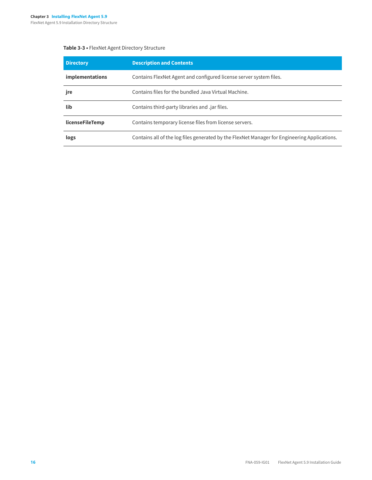#### **Table 3-3 •** FlexNet Agent Directory Structure

| <b>Directory</b>       | <b>Description and Contents</b>                                                              |
|------------------------|----------------------------------------------------------------------------------------------|
| <i>implementations</i> | Contains FlexNet Agent and configured license server system files.                           |
| jre                    | Contains files for the bundled Java Virtual Machine.                                         |
| lib                    | Contains third-party libraries and .jar files.                                               |
| <b>licenseFileTemp</b> | Contains temporary license files from license servers.                                       |
| logs                   | Contains all of the log files generated by the FlexNet Manager for Engineering Applications. |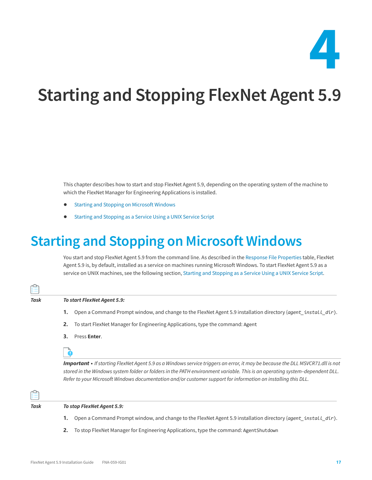# <span id="page-16-2"></span><span id="page-16-0"></span>**Starting and Stopping FlexNet Agent 5.9**

This chapter describes how to start and stop FlexNet Agent 5.9, depending on the operating system of the machine to which the FlexNet Manager for Engineering Applications is installed.

- **•** [Starting and Stopping on Microsoft Windows](#page-16-1)
- **•** [Starting and Stopping as a Service Using a UNIX Service Script](#page-17-0)

# <span id="page-16-3"></span><span id="page-16-1"></span>**Starting and Stopping on Microsoft Windows**

You start and stop FlexNet Agent 5.9 from the command line. As described in the [Response File Properties](#page-14-2) table, FlexNet Agent 5.9 is, by default, installed as a service on machines running Microsoft Windows. To start FlexNet Agent 5.9 as a service on UNIX machines, see the following section, [Starting and Stopping as a Service Using a UNIX Service Script.](#page-17-0)

| Task | <b>To start FlexNet Agent 5.9:</b>                                                                                                                                                                                                                                                                                                                                                    |  |  |  |
|------|---------------------------------------------------------------------------------------------------------------------------------------------------------------------------------------------------------------------------------------------------------------------------------------------------------------------------------------------------------------------------------------|--|--|--|
|      | Open a Command Prompt window, and change to the FlexNet Agent 5.9 installation directory (agent install dir).<br>1.                                                                                                                                                                                                                                                                   |  |  |  |
|      | To start FlexNet Manager for Engineering Applications, type the command: Agent<br>2.                                                                                                                                                                                                                                                                                                  |  |  |  |
|      | 3.<br>Press Enter.                                                                                                                                                                                                                                                                                                                                                                    |  |  |  |
|      |                                                                                                                                                                                                                                                                                                                                                                                       |  |  |  |
|      | <b>Important</b> • If starting FlexNet Agent 5.9 as a Windows service triggers an error, it may be because the DLL MSVCR71.dll is not<br>stored in the Windows system folder or folders in the PATH environment variable. This is an operating system-dependent DLL.<br>Refer to your Microsoft Windows documentation and/or customer support for information on installing this DLL. |  |  |  |
|      |                                                                                                                                                                                                                                                                                                                                                                                       |  |  |  |
| Task | To stop FlexNet Agent 5.9:                                                                                                                                                                                                                                                                                                                                                            |  |  |  |
|      | Open a Command Prompt window, and change to the FlexNet Agent 5.9 installation directory (agent install dir).<br>1.                                                                                                                                                                                                                                                                   |  |  |  |
|      |                                                                                                                                                                                                                                                                                                                                                                                       |  |  |  |

**2.** To stop FlexNet Manager for Engineering Applications, type the command: AgentShutdown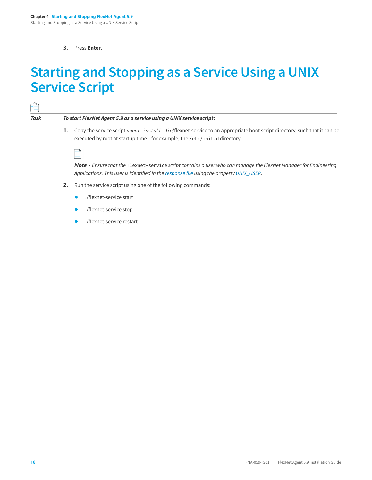<span id="page-17-3"></span><span id="page-17-2"></span>**3.** Press **Enter**.

 $\sim$ 

# <span id="page-17-1"></span><span id="page-17-0"></span>**Starting and Stopping as a Service Using a UNIX Service Script**

| 运           |                                                                      |                                                                                                                                                                                                              |  |  |  |
|-------------|----------------------------------------------------------------------|--------------------------------------------------------------------------------------------------------------------------------------------------------------------------------------------------------------|--|--|--|
| <b>Task</b> | To start FlexNet Agent 5.9 as a service using a UNIX service script: |                                                                                                                                                                                                              |  |  |  |
|             |                                                                      | Copy the service script agent install dir/flexnet-service to an appropriate boot script directory, such that it can be<br>executed by root at startup time-for example, the /etc/init.d directory.           |  |  |  |
|             |                                                                      | Note • Ensure that the flexnet-service script contains a user who can manage the FlexNet Manager for Engineering<br>Applications. This user is identified in the response file using the property UNIX_USER. |  |  |  |
|             |                                                                      | Run the service script using one of the following commands:                                                                                                                                                  |  |  |  |

- **•** ./flexnet-service start
- **•** ./flexnet-service stop
- **•** ./flexnet-service restart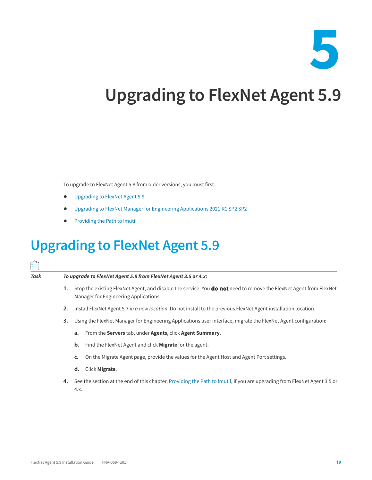```
5
```
# <span id="page-18-3"></span><span id="page-18-2"></span><span id="page-18-0"></span>**Upgrading to FlexNet Agent 5.9**

To upgrade to FlexNet Agent 5.8 from older versions, you must first:

- **•** [Upgrading to FlexNet Agent 5.9](#page-18-1)
- **•** [Upgrading to FlexNet Manager for Engineering Applications 2021 R1 SP2 SP2](#page-19-0)
- **•** [Providing the Path to lmutil](#page-19-1)

耍

# <span id="page-18-1"></span>**Upgrading to FlexNet Agent 5.9**

| To upgrade to FlexNet Agent 5.8 from FlexNet Agent 3.5 or 4.x: |      |                                                                                                                                                                    |  |  |
|----------------------------------------------------------------|------|--------------------------------------------------------------------------------------------------------------------------------------------------------------------|--|--|
|                                                                |      |                                                                                                                                                                    |  |  |
| 1.                                                             |      | Stop the existing FlexNet Agent, and disable the service. You <b>do not</b> need to remove the FlexNet Agent from FlexNet<br>Manager for Engineering Applications. |  |  |
| 2.                                                             |      | Install FlexNet Agent 5.7 in a new location. Do not install to the previous FlexNet Agent installation location.                                                   |  |  |
| 3.                                                             |      | Using the FlexNet Manager for Engineering Applications user interface, migrate the FlexNet Agent configuration:                                                    |  |  |
|                                                                | a.   | From the Servers tab, under Agents, click Agent Summary.                                                                                                           |  |  |
|                                                                | b.   | Find the FlexNet Agent and click <b>Migrate</b> for the agent.                                                                                                     |  |  |
|                                                                | c.   | On the Migrate Agent page, provide the values for the Agent Host and Agent Port settings.                                                                          |  |  |
|                                                                | d.   | Click Migrate.                                                                                                                                                     |  |  |
| 4.                                                             | 4.x. | See the section at the end of this chapter, Providing the Path to Imutil, if you are upgrading from FlexNet Agent 3.5 or                                           |  |  |
|                                                                |      |                                                                                                                                                                    |  |  |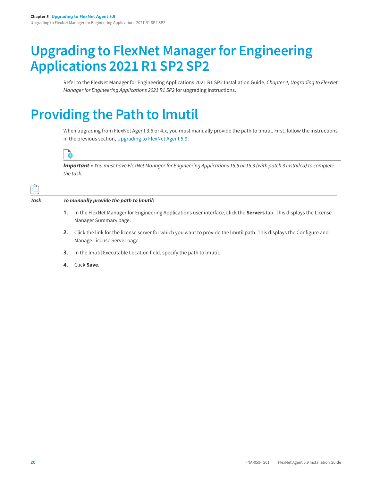# <span id="page-19-0"></span>**Upgrading to FlexNet Manager for Engineering Applications 2021 R1 SP2 SP2**

Refer to the FlexNet Manager for Engineering Applications 2021 R1 SP2 Installation Guide, *Chapter 4, Upgrading to FlexNet Manager for Engineering Applications 2021 R1 SP2* for upgrading instructions.

# <span id="page-19-1"></span>**Providing the Path to lmutil**

When upgrading from FlexNet Agent 3.5 or 4.x, you must manually provide the path to lmutil. First, follow the instructions in the previous section, [Upgrading to FlexNet Agent 5.9.](#page-18-0)



*Important • You must have FlexNet Manager for Engineering Applications 15.5 or 15.3 (with patch 3 installed) to complete the task.*



#### *Task To manually provide the path to lmutil:*

- **1.** In the FlexNet Manager for Engineering Applications user interface, click the **Servers** tab. This displays the License Manager Summary page.
- **2.** Click the link for the license server for which you want to provide the lmutil path. This displays the Configure and Manage License Server page.
- **3.** In the lmutil Executable Location field, specify the path to lmutil.
- **4.** Click **Save**.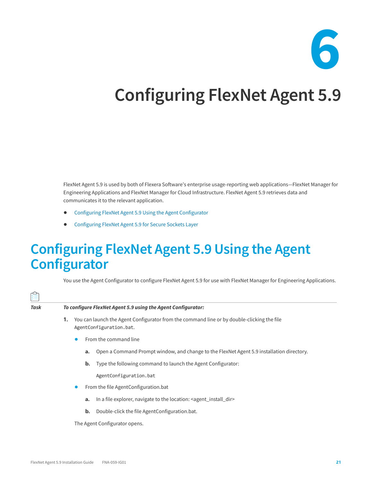# <span id="page-20-2"></span><span id="page-20-0"></span>**Configuring FlexNet Agent 5.9**

FlexNet Agent 5.9 is used by both of Flexera Software's enterprise usage-reporting web applications—FlexNet Manager for Engineering Applications and FlexNet Manager for Cloud Infrastructure. FlexNet Agent 5.9 retrieves data and communicates it to the relevant application.

- **•** [Configuring FlexNet Agent 5.9 Using the Agent Configurator](#page-20-1)
- **•** [Configuring FlexNet Agent 5.9 for Secure Sockets Layer](#page-23-0)

# <span id="page-20-1"></span>**Configuring FlexNet Agent 5.9 Using the Agent Configurator**

You use the Agent Configurator to configure FlexNet Agent 5.9 for use with FlexNet Manager for Engineering Applications.



*Task To configure FlexNet Agent 5.9 using the Agent Configurator:*

- **1.** You can launch the Agent Configurator from the command line or by double-clicking the file AgentConfiguration.bat.
	- **•** From the command line
		- **a.** Open a Command Prompt window, and change to the FlexNet Agent 5.9 installation directory.
		- **b.** Type the following command to launch the Agent Configurator:

AgentConfiguration.bat

- **•** From the file AgentConfiguration.bat
	- **a.** In a file explorer, navigate to the location: <agent\_install\_dir>
	- **b.** Double-click the file AgentConfiguration.bat.

The Agent Configurator opens.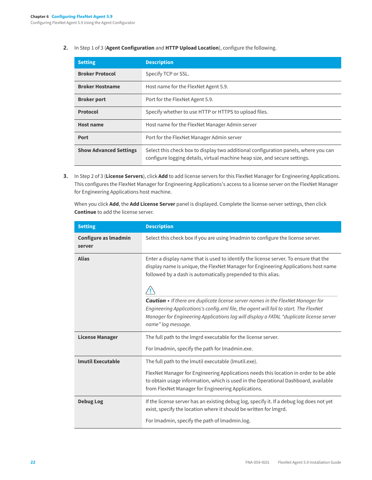<span id="page-21-0"></span>**2.** In Step 1 of 3 (**Agent Configuration** and **HTTP Upload Location**), configure the following.

| <b>Setting</b>                | <b>Description</b>                                                                                                                                                |
|-------------------------------|-------------------------------------------------------------------------------------------------------------------------------------------------------------------|
| <b>Broker Protocol</b>        | Specify TCP or SSL.                                                                                                                                               |
| <b>Broker Hostname</b>        | Host name for the FlexNet Agent 5.9.                                                                                                                              |
| <b>Broker port</b>            | Port for the FlexNet Agent 5.9.                                                                                                                                   |
| <b>Protocol</b>               | Specify whether to use HTTP or HTTPS to upload files.                                                                                                             |
| Host name                     | Host name for the FlexNet Manager Admin server                                                                                                                    |
| <b>Port</b>                   | Port for the FlexNet Manager Admin server                                                                                                                         |
| <b>Show Advanced Settings</b> | Select this check box to display two additional configuration panels, where you can<br>configure logging details, virtual machine heap size, and secure settings. |

**3.** In Step 2 of 3 (**License Servers**), click **Add** to add license servers for this FlexNet Manager for Engineering Applications. This configures the FlexNet Manager for Engineering Applications's access to a license server on the FlexNet Manager for Engineering Applications host machine.

When you click **Add**, the **Add License Server** panel is displayed. Complete the license-server settings, then click **Continue** to add the license server.

| <b>Setting</b>                        | <b>Description</b>                                                                                                                                                                                                                                                                                                                                                                                                                                                                                                                              |
|---------------------------------------|-------------------------------------------------------------------------------------------------------------------------------------------------------------------------------------------------------------------------------------------------------------------------------------------------------------------------------------------------------------------------------------------------------------------------------------------------------------------------------------------------------------------------------------------------|
| <b>Configure as Imadmin</b><br>server | Select this check box if you are using Imadmin to configure the license server.                                                                                                                                                                                                                                                                                                                                                                                                                                                                 |
| <b>Alias</b>                          | Enter a display name that is used to identify the license server. To ensure that the<br>display name is unique, the FlexNet Manager for Engineering Applications host name<br>followed by a dash is automatically prepended to this alias.<br><b>Caution</b> • If there are duplicate license server names in the FlexNet Manager for<br>Engineering Applications's config.xml file, the agent will fail to start. The FlexNet<br>Manager for Engineering Applications log will display a FATAL "duplicate license server<br>name" log message. |
| <b>License Manager</b>                | The full path to the lmgrd executable for the license server.<br>For Imadmin, specify the path for Imadmin.exe.                                                                                                                                                                                                                                                                                                                                                                                                                                 |
| <b>Imutil Executable</b>              | The full path to the Imutil executable (Imutil.exe).<br>FlexNet Manager for Engineering Applications needs this location in order to be able<br>to obtain usage information, which is used in the Operational Dashboard, available<br>from FlexNet Manager for Engineering Applications.                                                                                                                                                                                                                                                        |
| <b>Debug Log</b>                      | If the license server has an existing debug log, specify it. If a debug log does not yet<br>exist, specify the location where it should be written for lmgrd.<br>For Imadmin, specify the path of Imadmin.log.                                                                                                                                                                                                                                                                                                                                  |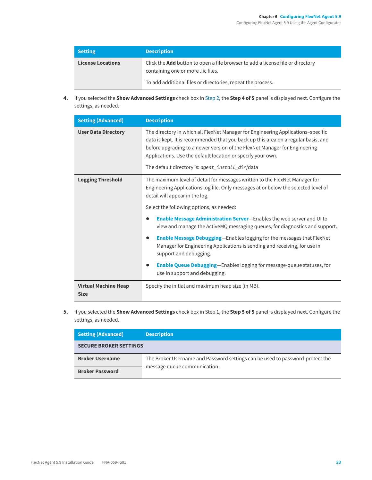| <b>Setting</b>           | <b>Description</b>                                                                                                         |
|--------------------------|----------------------------------------------------------------------------------------------------------------------------|
| <b>License Locations</b> | Click the <b>Add</b> button to open a file browser to add a license file or directory<br>containing one or more lic files. |
|                          | To add additional files or directories, repeat the process.                                                                |

**4.** If you selected the **Show Advanced Settings** check box in [Step 2,](#page-21-0) the **Step 4 of 5** panel is displayed next. Configure the settings, as needed.

| <b>Setting (Advanced)</b>                  | <b>Description</b>                                                                                                                                                                                                                                                                                                                                                                                                                                                                                                                                                                                                                                                                                         |
|--------------------------------------------|------------------------------------------------------------------------------------------------------------------------------------------------------------------------------------------------------------------------------------------------------------------------------------------------------------------------------------------------------------------------------------------------------------------------------------------------------------------------------------------------------------------------------------------------------------------------------------------------------------------------------------------------------------------------------------------------------------|
| <b>User Data Directory</b>                 | The directory in which all FlexNet Manager for Engineering Applications-specific<br>data is kept. It is recommended that you back up this area on a regular basis, and<br>before upgrading to a newer version of the FlexNet Manager for Engineering<br>Applications. Use the default location or specify your own.<br>The default directory is: agent_install_dir/data                                                                                                                                                                                                                                                                                                                                    |
| <b>Logging Threshold</b>                   | The maximum level of detail for messages written to the FlexNet Manager for<br>Engineering Applications log file. Only messages at or below the selected level of<br>detail will appear in the log.<br>Select the following options, as needed:<br>Enable Message Administration Server-Enables the web server and UI to<br>view and manage the ActiveMQ messaging queues, for diagnostics and support.<br><b>Enable Message Debugging-Enables logging for the messages that FlexNet</b><br>Manager for Engineering Applications is sending and receiving, for use in<br>support and debugging.<br>Enable Queue Debugging-Enables logging for message-queue statuses, for<br>use in support and debugging. |
| <b>Virtual Machine Heap</b><br><b>Size</b> | Specify the initial and maximum heap size (in MB).                                                                                                                                                                                                                                                                                                                                                                                                                                                                                                                                                                                                                                                         |

**5.** If you selected the **Show Advanced Settings** check box in Step 1, the **Step 5 of 5** panel is displayed next. Configure the settings, as needed.

| <b>Setting (Advanced)</b>     | <b>Description</b>                                                            |
|-------------------------------|-------------------------------------------------------------------------------|
| <b>SECURE BROKER SETTINGS</b> |                                                                               |
| <b>Broker Username</b>        | The Broker Username and Password settings can be used to password-protect the |
| <b>Broker Password</b>        | message queue communication.                                                  |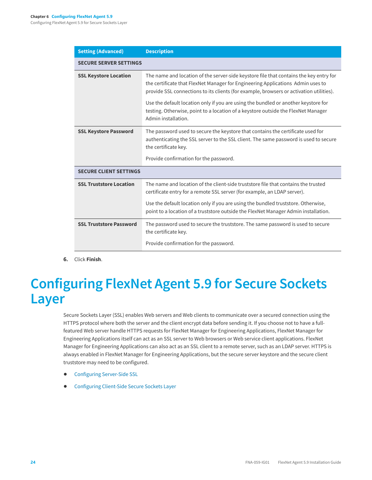| <b>Setting (Advanced)</b>      | <b>Description</b>                                                                                                                                                                                                                                                   |
|--------------------------------|----------------------------------------------------------------------------------------------------------------------------------------------------------------------------------------------------------------------------------------------------------------------|
| <b>SECURE SERVER SETTINGS</b>  |                                                                                                                                                                                                                                                                      |
| <b>SSL Keystore Location</b>   | The name and location of the server-side keystore file that contains the key entry for<br>the certificate that FlexNet Manager for Engineering Applications Admin uses to<br>provide SSL connections to its clients (for example, browsers or activation utilities). |
|                                | Use the default location only if you are using the bundled or another keystore for<br>testing. Otherwise, point to a location of a keystore outside the FlexNet Manager<br>Admin installation.                                                                       |
| <b>SSL Keystore Password</b>   | The password used to secure the keystore that contains the certificate used for<br>authenticating the SSL server to the SSL client. The same password is used to secure<br>the certificate key.                                                                      |
|                                | Provide confirmation for the password.                                                                                                                                                                                                                               |
| <b>SECURE CLIENT SETTINGS</b>  |                                                                                                                                                                                                                                                                      |
| <b>SSL Truststore Location</b> | The name and location of the client-side truststore file that contains the trusted<br>certificate entry for a remote SSL server (for example, an LDAP server).                                                                                                       |
|                                | Use the default location only if you are using the bundled truststore. Otherwise,<br>point to a location of a truststore outside the FlexNet Manager Admin installation.                                                                                             |
| <b>SSL Truststore Password</b> | The password used to secure the truststore. The same password is used to secure<br>the certificate key.                                                                                                                                                              |
|                                | Provide confirmation for the password.                                                                                                                                                                                                                               |

<span id="page-23-1"></span>**6.** Click **Finish**.

# <span id="page-23-0"></span>**Configuring FlexNet Agent 5.9 for Secure Sockets Layer**

Secure Sockets Layer (SSL) enables Web servers and Web clients to communicate over a secured connection using the HTTPS protocol where both the server and the client encrypt data before sending it. If you choose not to have a fullfeatured Web server handle HTTPS requests for FlexNet Manager for Engineering Applications, FlexNet Manager for Engineering Applications itself can act as an SSL server to Web browsers or Web service client applications. FlexNet Manager for Engineering Applications can also act as an SSL client to a remote server, such as an LDAP server. HTTPS is always enabled in FlexNet Manager for Engineering Applications, but the secure server keystore and the secure client truststore may need to be configured.

- **•** [Configuring Server-Side SSL](#page-24-0)
- **•** [Configuring Client-Side Secure Sockets Layer](#page-27-1)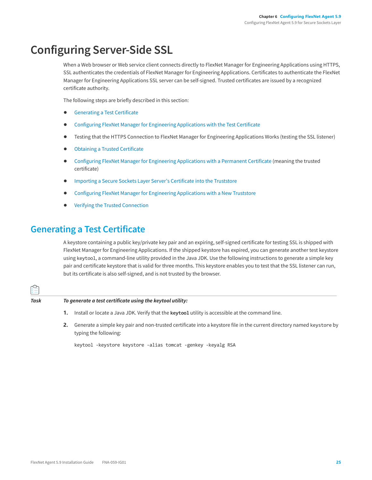## <span id="page-24-0"></span>**Configuring Server-Side SSL**

When a Web browser or Web service client connects directly to FlexNet Manager for Engineering Applications using HTTPS, SSL authenticates the credentials of FlexNet Manager for Engineering Applications. Certificates to authenticate the FlexNet Manager for Engineering Applications SSL server can be self-signed. Trusted certificates are issued by a recognized certificate authority.

The following steps are briefly described in this section:

- **•** [Generating a Test Certificate](#page-24-1)
- **•** [Configuring FlexNet Manager for Engineering Applications with the Test Certificate](#page-25-0)
- **•** Testing that the HTTPS Connection to FlexNet Manager for Engineering Applications Works (testing the SSL listener)
- **•** [Obtaining a Trusted Certificate](#page-26-0)
- **•** [Configuring FlexNet Manager for Engineering Applications with a Permanent Certificate](#page-27-0) (meaning the trusted certificate)
- **•** [Importing a Secure Sockets Layer Server's Certificate into the Truststore](#page-28-0)
- **•** [Configuring FlexNet Manager for Engineering Applications with a New Truststore](#page-28-1)
- **•** [Verifying the Trusted Connection](#page-29-0)

### <span id="page-24-1"></span>**Generating a Test Certificate**

A keystore containing a public key/private key pair and an expiring, self-signed certificate for testing SSL is shipped with FlexNet Manager for Engineering Applications. If the shipped keystore has expired, you can generate another test keystore using keytool, a command-line utility provided in the Java JDK. Use the following instructions to generate a simple key pair and certificate keystore that is valid for three months. This keystore enables you to test that the SSL listener can run, but its certificate is also self-signed, and is not trusted by the browser.

#### *Task To generate a test certificate using the keytool utility:*

- **1.** Install or locate a Java JDK. Verify that the **keytool** utility is accessible at the command line.
- **2.** Generate a simple key pair and non-trusted certificate into a keystore file in the current directory named keystore by typing the following:

```
keytool -keystore keystore -alias tomcat -genkey -keyalg RSA
```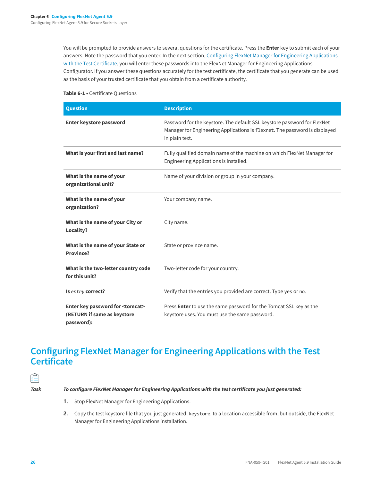You will be prompted to provide answers to several questions for the certificate. Press the **Enter** key to submit each of your answers. Note the password that you enter. In the next section, [Configuring FlexNet Manager for Engineering Applications](#page-25-0)  [with the Test Certificate,](#page-25-0) you will enter these passwords into the FlexNet Manager for Engineering Applications Configurator. If you answer these questions accurately for the test certificate, the certificate that you generate can be used as the basis of your trusted certificate that you obtain from a certificate authority.

#### **Table 6-1 •** Certificate Questions

| Question                                                                                | <b>Description</b>                                                                                                                                                       |
|-----------------------------------------------------------------------------------------|--------------------------------------------------------------------------------------------------------------------------------------------------------------------------|
| <b>Enter keystore password</b>                                                          | Password for the keystore. The default SSL keystore password for FlexNet<br>Manager for Engineering Applications is flexnet. The password is displayed<br>in plain text. |
| What is your first and last name?                                                       | Fully qualified domain name of the machine on which FlexNet Manager for<br>Engineering Applications is installed.                                                        |
| What is the name of your<br>organizational unit?                                        | Name of your division or group in your company.                                                                                                                          |
| What is the name of your<br>organization?                                               | Your company name.                                                                                                                                                       |
| What is the name of your City or<br>Locality?                                           | City name.                                                                                                                                                               |
| What is the name of your State or<br>Province?                                          | State or province name.                                                                                                                                                  |
| What is the two-letter country code<br>for this unit?                                   | Two-letter code for your country.                                                                                                                                        |
| Is entry correct?                                                                       | Verify that the entries you provided are correct. Type yes or no.                                                                                                        |
| Enter key password for <tomcat><br/>(RETURN if same as keystore<br/>password):</tomcat> | Press <b>Enter</b> to use the same password for the Tomcat SSL key as the<br>keystore uses. You must use the same password.                                              |

### <span id="page-25-0"></span>**Configuring FlexNet Manager for Engineering Applications with the Test Certificate**

É

*Task To configure FlexNet Manager for Engineering Applications with the test certificate you just generated:* 

- **1.** Stop FlexNet Manager for Engineering Applications.
- **2.** Copy the test keystore file that you just generated, keystore, to a location accessible from, but outside, the FlexNet Manager for Engineering Applications installation.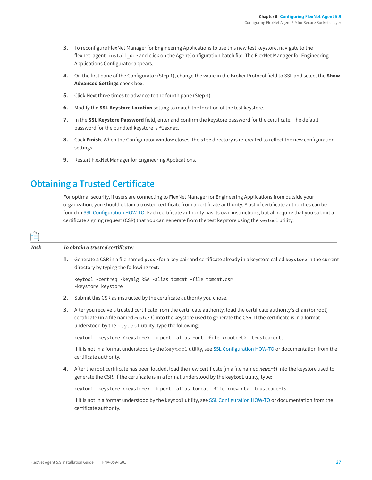- **3.** To reconfigure FlexNet Manager for Engineering Applications to use this new test keystore, navigate to the flexnet\_agent\_install\_dir and click on the AgentConfiguration batch file. The FlexNet Manager for Engineering Applications Configurator appears.
- **4.** On the first pane of the Configurator (Step 1), change the value in the Broker Protocol field to SSL and select the **Show Advanced Settings** check box.
- **5.** Click Next three times to advance to the fourth pane (Step 4).
- **6.** Modify the **SSL Keystore Location** setting to match the location of the test keystore.
- **7.** In the **SSL Keystore Password** field, enter and confirm the keystore password for the certificate. The default password for the bundled keystore is flexnet.
- **8.** Click **Finish**. When the Configurator window closes, the site directory is re-created to reflect the new configuration settings.
- **9.** Restart FlexNet Manager for Engineering Applications.

### <span id="page-26-0"></span>**Obtaining a Trusted Certificate**

For optimal security, if users are connecting to FlexNet Manager for Engineering Applications from outside your organization, you should obtain a trusted certificate from a certificate authority. A list of certificate authorities can be found in [SSL Configuration HOW-TO.](http://tomcat.apache.org/tomcat-5.5-doc/ssl-howto.html) Each certificate authority has its own instructions, but all require that you submit a certificate signing request (CSR) that you can generate from the test keystore using the keytool utility.

#### *Task To obtain a trusted certificate:*

**1.** Generate a CSR in a file named **p.csr** for a key pair and certificate already in a keystore called **keystore** in the current directory by typing the following text:

keytool -certreq -keyalg RSA -alias tomcat -file tomcat.csr -keystore keystore

- **2.** Submit this CSR as instructed by the certificate authority you chose.
- **3.** After you receive a trusted certificate from the certificate authority, load the certificate authority's chain (or root) certificate (in a file named *rootcrt*) into the keystore used to generate the CSR. If the certificate is in a format understood by the keytool utility, type the following:

keytool -keystore <keystore> -import -alias root -file <rootcrt> -trustcacerts

If it is not in a format understood by the keytool utility, see [SSL Configuration HOW-TO](http://tomcat.apache.org/tomcat-5.5-doc/ssl-howto.html) or documentation from the certificate authority.

**4.** After the root certificate has been loaded, load the new certificate (in a file named *newcrt*) into the keystore used to generate the CSR. If the certificate is in a format understood by the keytool utility, type:

keytool -keystore <keystore> -import -alias tomcat -file <newcrt> -trustcacerts

If it is not in a format understood by the keytool utility, see [SSL Configuration HOW-TO](http://tomcat.apache.org/tomcat-5.5-doc/ssl-howto.html) or documentation from the certificate authority.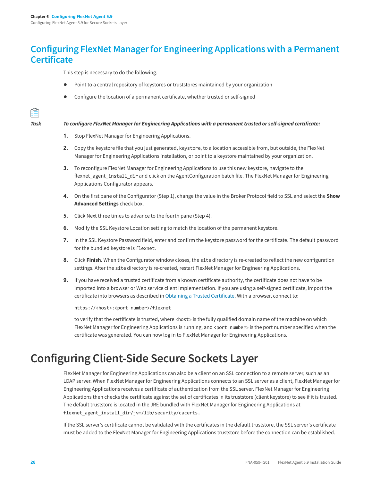### <span id="page-27-0"></span>**Configuring FlexNet Manager for Engineering Applications with a Permanent Certificate**

This step is necessary to do the following:

- **•** Point to a central repository of keystores or truststores maintained by your organization
- **•** Configure the location of a permanent certificate, whether trusted or self-signed

| Task |    | To configure FlexNet Manager for Engineering Applications with a permanent trusted or self-signed certificate:                                                                                                                                                                                                                                       |
|------|----|------------------------------------------------------------------------------------------------------------------------------------------------------------------------------------------------------------------------------------------------------------------------------------------------------------------------------------------------------|
|      | 1. | Stop FlexNet Manager for Engineering Applications.                                                                                                                                                                                                                                                                                                   |
|      | 2. | Copy the keystore file that you just generated, keystore, to a location accessible from, but outside, the FlexNet<br>Manager for Engineering Applications installation, or point to a keystore maintained by your organization.                                                                                                                      |
|      | 3. | To reconfigure FlexNet Manager for Engineering Applications to use this new keystore, navigate to the<br>flexnet_agent_install_dir and click on the AgentConfiguration batch file. The FlexNet Manager for Engineering<br>Applications Configurator appears.                                                                                         |
|      | 4. | On the first pane of the Configurator (Step 1), change the value in the Broker Protocol field to SSL and select the Show<br>Advanced Settings check box.                                                                                                                                                                                             |
|      | 5. | Click Next three times to advance to the fourth pane (Step 4).                                                                                                                                                                                                                                                                                       |
|      | 6. | Modify the SSL Keystore Location setting to match the location of the permanent keystore.                                                                                                                                                                                                                                                            |
|      | 7. | In the SSL Keystore Password field, enter and confirm the keystore password for the certificate. The default password<br>for the bundled keystore is flexnet.                                                                                                                                                                                        |
|      | 8. | Click Finish. When the Configurator window closes, the site directory is re-created to reflect the new configuration<br>settings. After the site directory is re-created, restart FlexNet Manager for Engineering Applications.                                                                                                                      |
|      | 9. | If you have received a trusted certificate from a known certificate authority, the certificate does not have to be<br>imported into a browser or Web service client implementation. If you are using a self-signed certificate, import the<br>certificate into browsers as described in Obtaining a Trusted Certificate. With a browser, connect to: |

https://<host>:<port number>/flexnet

to verify that the certificate is trusted, where <host> is the fully qualified domain name of the machine on which FlexNet Manager for Engineering Applications is running, and <port number> is the port number specified when the certificate was generated. You can now log in to FlexNet Manager for Engineering Applications.

# <span id="page-27-1"></span>**Configuring Client-Side Secure Sockets Layer**

FlexNet Manager for Engineering Applications can also be a client on an SSL connection to a remote server, such as an LDAP server. When FlexNet Manager for Engineering Applications connects to an SSL server as a client, FlexNet Manager for Engineering Applications receives a certificate of authentication from the SSL server. FlexNet Manager for Engineering Applications then checks the certificate against the set of certificates in its truststore (client keystore) to see if it is trusted. The default truststore is located in the JRE bundled with FlexNet Manager for Engineering Applications at flexnet\_agent\_install\_dir/jvm/lib/security/cacerts.

If the SSL server's certificate cannot be validated with the certificates in the default truststore, the SSL server's certificate must be added to the FlexNet Manager for Engineering Applications truststore before the connection can be established.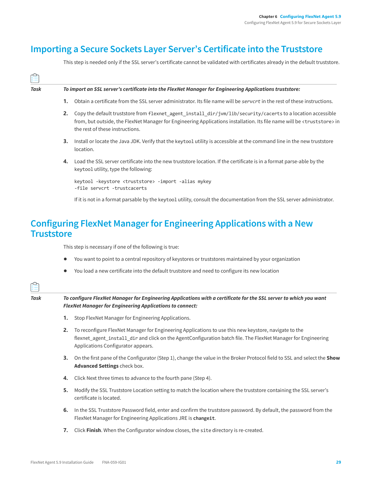### <span id="page-28-0"></span>**Importing a Secure Sockets Layer Server's Certificate into the Truststore**

This step is needed only if the SSL server's certificate cannot be validated with certificates already in the default truststore.

| 廷    |    |                                                                                                                                                                                                                                                                                          |  |  |
|------|----|------------------------------------------------------------------------------------------------------------------------------------------------------------------------------------------------------------------------------------------------------------------------------------------|--|--|
| Task |    | To import an SSL server's certificate into the FlexNet Manager for Engineering Applications truststore:                                                                                                                                                                                  |  |  |
|      | 1. | Obtain a certificate from the SSL server administrator. Its file name will be <i>servert</i> in the rest of these instructions.                                                                                                                                                          |  |  |
|      | 2. | Copy the default truststore from flexnet_agent_install_dir/jvm/lib/security/cacerts to a location accessible<br>from, but outside, the FlexNet Manager for Engineering Applications installation. Its file name will be <truststore> in<br/>the rest of these instructions.</truststore> |  |  |
|      | 3. | Install or locate the Java JDK. Verify that the keytool utility is accessible at the command line in the new truststore<br>location.                                                                                                                                                     |  |  |
|      | 4. | Load the SSL server certificate into the new truststore location. If the certificate is in a format parse-able by the<br>keytool utility, type the following:                                                                                                                            |  |  |
|      |    | keytool -keystore <truststore> -import -alias mykey<br/>-file servcrt -trustcacerts</truststore>                                                                                                                                                                                         |  |  |
|      |    | If it is not in a format parsable by the keytool utility, consult the documentation from the SSL server administrator.                                                                                                                                                                   |  |  |

### <span id="page-28-1"></span>**Configuring FlexNet Manager for Engineering Applications with a New Truststore**

This step is necessary if one of the following is true:

- **•** You want to point to a central repository of keystores or truststores maintained by your organization
- **•** You load a new certificate into the default truststore and need to configure its new location

*Task To configure FlexNet Manager for Engineering Applications with a certificate for the SSL server to which you want FlexNet Manager for Engineering Applications to connect:* 

- **1.** Stop FlexNet Manager for Engineering Applications.
- **2.** To reconfigure FlexNet Manager for Engineering Applications to use this new keystore, navigate to the flexnet\_agent\_install\_dir and click on the AgentConfiguration batch file. The FlexNet Manager for Engineering Applications Configurator appears.
- **3.** On the first pane of the Configurator (Step 1), change the value in the Broker Protocol field to SSL and select the **Show Advanced Settings** check box.
- **4.** Click Next three times to advance to the fourth pane (Step 4).
- **5.** Modify the SSL Truststore Location setting to match the location where the truststore containing the SSL server's certificate is located.
- **6.** In the SSL Truststore Password field, enter and confirm the truststore password. By default, the password from the FlexNet Manager for Engineering Applications JRE is **changeit**.
- **7.** Click **Finish**. When the Configurator window closes, the site directory is re-created.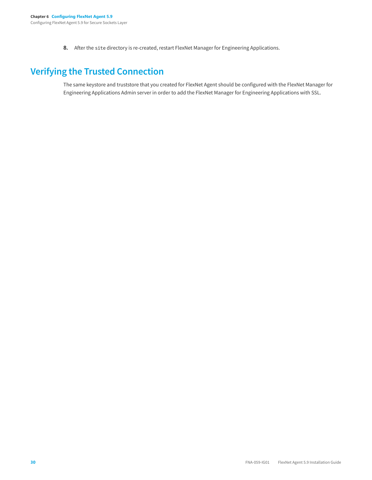**8.** After the site directory is re-created, restart FlexNet Manager for Engineering Applications.

### <span id="page-29-0"></span>**Verifying the Trusted Connection**

The same keystore and truststore that you created for FlexNet Agent should be configured with the FlexNet Manager for Engineering Applications Admin server in order to add the FlexNet Manager for Engineering Applications with SSL.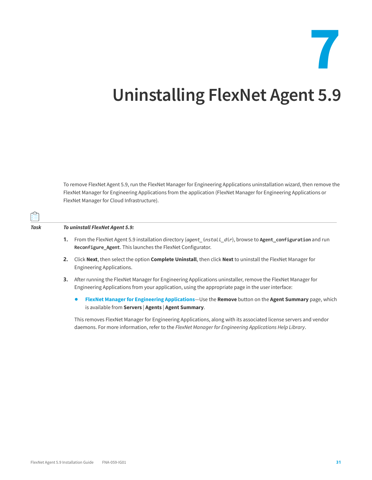**7**

# <span id="page-30-1"></span><span id="page-30-0"></span>**Uninstalling FlexNet Agent 5.9**

To remove FlexNet Agent 5.9, run the FlexNet Manager for Engineering Applications uninstallation wizard, then remove the FlexNet Manager for Engineering Applications from the application (FlexNet Manager for Engineering Applications or FlexNet Manager for Cloud Infrastructure).

#### *Task To uninstall FlexNet Agent 5.9:*

- **1.** From the FlexNet Agent 5.9 installation directory (*agent\_install\_dir*), browse to **Agent\_configuration** and run **Reconfigure\_Agent**. This launches the FlexNet Configurator.
- **2.** Click **Next**, then select the option **Complete Uninstall**, then click **Next** to uninstall the FlexNet Manager for Engineering Applications.
- **3.** After running the FlexNet Manager for Engineering Applications uninstaller, remove the FlexNet Manager for Engineering Applications from your application, using the appropriate page in the user interface:
	- **• FlexNet Manager for Engineering Applications**—Use the **Remove** button on the **Agent Summary** page, which is available from **Servers** | **Agents** | **Agent Summary**.

This removes FlexNet Manager for Engineering Applications, along with its associated license servers and vendor daemons. For more information, refer to the *FlexNet Manager for Engineering Applications Help Library*.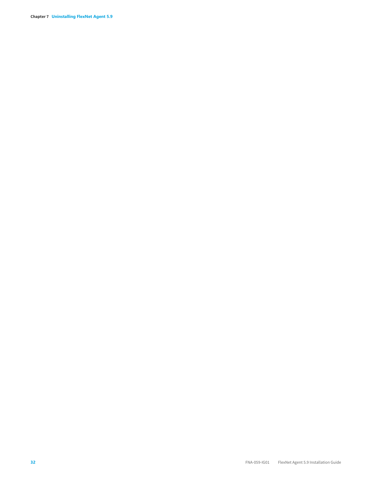**Chapter 7 Uninstalling FlexNet Agent 5.9**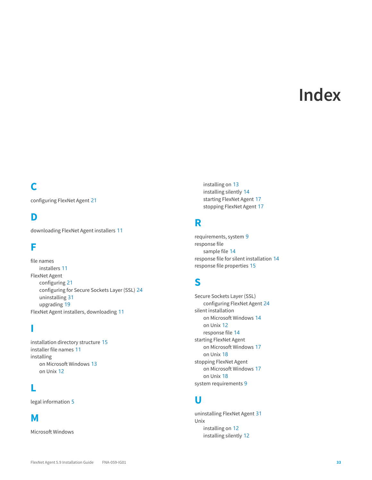# **Index**

### <span id="page-32-0"></span>**C**

configuring FlexNet Agent [21](#page-20-2)

### **D**

downloading FlexNet Agent installers [11](#page-10-3)

### **F**

file names installers [11](#page-10-4) FlexNet Agent configuring [21](#page-20-2) configuring for Secure Sockets Layer (SSL) [24](#page-23-1) uninstalling [31](#page-30-1) upgrading [19](#page-18-3) FlexNet Agent installers, downloading [11](#page-10-3)

### **I**

installation directory structure [15](#page-14-4) installer file names [11](#page-10-4) installing on Microsoft Windows [13](#page-12-2) on Unix [12](#page-11-3)

### **L**

legal information [5](#page-4-2)

### **M**

Microsoft Windows

installing on [13](#page-12-2) installing silently [14](#page-13-3) starting FlexNet Agent [17](#page-16-3) stopping FlexNet Agent [17](#page-16-3)

### **R**

requirements, system [9](#page-8-3) response file sample file [14](#page-13-4) response file for silent installation [14](#page-13-5) response file properties [15](#page-14-5)

### **S**

Secure Sockets Layer (SSL) configuring FlexNet Agent [24](#page-23-1) silent installation on Microsoft Windows [14](#page-13-3) on Unix [12](#page-11-4) response file [14](#page-13-5) starting FlexNet Agent on Microsoft Windows [17](#page-16-3) on Unix [18](#page-17-2) stopping FlexNet Agent on Microsoft Windows [17](#page-16-3) on Unix [18](#page-17-2) system requirements [9](#page-8-3)

#### **U**

uninstalling FlexNet Agent [31](#page-30-1) Unix installing on [12](#page-11-3) installing silently [12](#page-11-4)